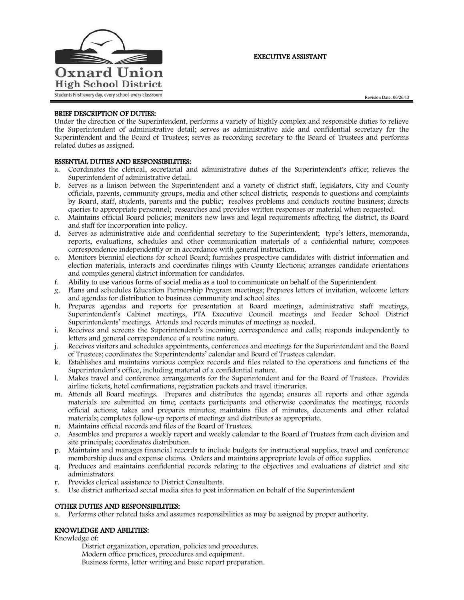

## EXECUTIVE ASSISTANT

# BRIEF DESCRIPTION OF DUTIES:

Under the direction of the Superintendent, performs a variety of highly complex and responsible duties to relieve the Superintendent of administrative detail; serves as administrative aide and confidential secretary for the Superintendent and the Board of Trustees; serves as recording secretary to the Board of Trustees and performs related duties as assigned.

#### ESSENTIAL DUTIES AND RESPONSIBILITIES:

- a. Coordinates the clerical, secretarial and administrative duties of the Superintendent's office; relieves the Superintendent of administrative detail.
- b. Serves as a liaison between the Superintendent and a variety of district staff, legislators, City and County officials, parents, community groups, media and other school districts; responds to questions and complaints by Board, staff, students, parents and the public; resolves problems and conducts routine business; directs queries to appropriate personnel; researches and provides written responses or material when requested.
- c. Maintains official Board policies; monitors new laws and legal requirements affecting the district, its Board and staff for incorporation into policy.
- d. Serves as administrative aide and confidential secretary to the Superintendent; type's letters, memoranda, reports, evaluations, schedules and other communication materials of a confidential nature; composes correspondence independently or in accordance with general instruction.
- e. Monitors biennial elections for school Board; furnishes prospective candidates with district information and election materials, interacts and coordinates filings with County Elections; arranges candidate orientations and compiles general district information for candidates.
- f. Ability to use various forms of social media as a tool to communicate on behalf of the Superintendent
- g. Plans and schedules Education Partnership Program meetings; Prepares letters of invitation, welcome letters and agendas for distribution to business community and school sites.
- h. Prepares agendas and reports for presentation at Board meetings, administrative staff meetings, Superintendent's Cabinet meetings, PTA Executive Council meetings and Feeder School District Superintendents' meetings. Attends and records minutes of meetings as needed.
- i. Receives and screens the Superintendent's incoming correspondence and calls; responds independently to letters and general correspondence of a routine nature.
- j. Receives visitors and schedules appointments, conferences and meetings for the Superintendent and the Board of Trustees; coordinates the Superintendents' calendar and Board of Trustees calendar.
- k. Establishes and maintains various complex records and files related to the operations and functions of the Superintendent's office, including material of a confidential nature.
- l. Makes travel and conference arrangements for the Superintendent and for the Board of Trustees. Provides airline tickets, hotel confirmations, registration packets and travel itineraries.
- m. Attends all Board meetings. Prepares and distributes the agenda; ensures all reports and other agenda materials are submitted on time; contacts participants and otherwise coordinates the meetings; records official actions; takes and prepares minutes; maintains files of minutes, documents and other related materials; completes follow-up reports of meetings and distributes as appropriate.
- n. Maintains official records and files of the Board of Trustees.
- o. Assembles and prepares a weekly report and weekly calendar to the Board of Trustees from each division and site principals; coordinates distribution.
- p. Maintains and manages financial records to include budgets for instructional supplies, travel and conference membership dues and expense claims. Orders and maintains appropriate levels of office supplies.
- q. Produces and maintains confidential records relating to the objectives and evaluations of district and site administrators.
- r. Provides clerical assistance to District Consultants.
- s. Use district authorized social media sites to post information on behalf of the Superintendent

#### OTHER DUTIES AND RESPONSIBILITIES:

a. Performs other related tasks and assumes responsibilities as may be assigned by proper authority.

#### KNOWLEDGE AND ABILITIES:

Knowledge of:

District organization, operation, policies and procedures. Modern office practices, procedures and equipment. Business forms, letter writing and basic report preparation.